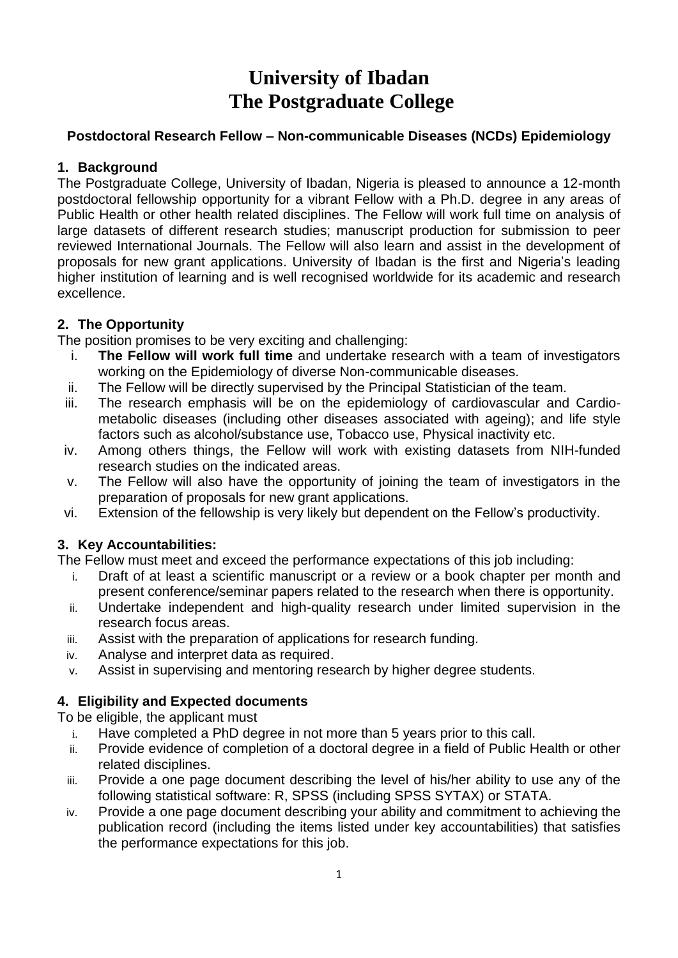# **University of Ibadan The Postgraduate College**

#### **Postdoctoral Research Fellow – Non-communicable Diseases (NCDs) Epidemiology**

#### **1. Background**

The Postgraduate College, University of Ibadan, Nigeria is pleased to announce a 12-month postdoctoral fellowship opportunity for a vibrant Fellow with a Ph.D. degree in any areas of Public Health or other health related disciplines. The Fellow will work full time on analysis of large datasets of different research studies; manuscript production for submission to peer reviewed International Journals. The Fellow will also learn and assist in the development of proposals for new grant applications. University of Ibadan is the first and Nigeria's leading higher institution of learning and is well recognised worldwide for its academic and research excellence.

## **2. The Opportunity**

The position promises to be very exciting and challenging:

- i. **The Fellow will work full time** and undertake research with a team of investigators working on the Epidemiology of diverse Non-communicable diseases.
- ii. The Fellow will be directly supervised by the Principal Statistician of the team.
- iii. The research emphasis will be on the epidemiology of cardiovascular and Cardiometabolic diseases (including other diseases associated with ageing); and life style factors such as alcohol/substance use, Tobacco use, Physical inactivity etc.
- iv. Among others things, the Fellow will work with existing datasets from NIH-funded research studies on the indicated areas.
- v. The Fellow will also have the opportunity of joining the team of investigators in the preparation of proposals for new grant applications.
- vi. Extension of the fellowship is very likely but dependent on the Fellow's productivity.

## **3. Key Accountabilities:**

The Fellow must meet and exceed the performance expectations of this job including:

- i. Draft of at least a scientific manuscript or a review or a book chapter per month and present conference/seminar papers related to the research when there is opportunity.
- ii. Undertake independent and high-quality research under limited supervision in the research focus areas.
- iii. Assist with the preparation of applications for research funding.
- iv. Analyse and interpret data as required.
- v. Assist in supervising and mentoring research by higher degree students.

## **4. Eligibility and Expected documents**

To be eligible, the applicant must

- i. Have completed a PhD degree in not more than 5 years prior to this call.
- ii. Provide evidence of completion of a doctoral degree in a field of Public Health or other related disciplines.
- iii. Provide a one page document describing the level of his/her ability to use any of the following statistical software: R, SPSS (including SPSS SYTAX) or STATA.
- iv. Provide a one page document describing your ability and commitment to achieving the publication record (including the items listed under key accountabilities) that satisfies the performance expectations for this job.